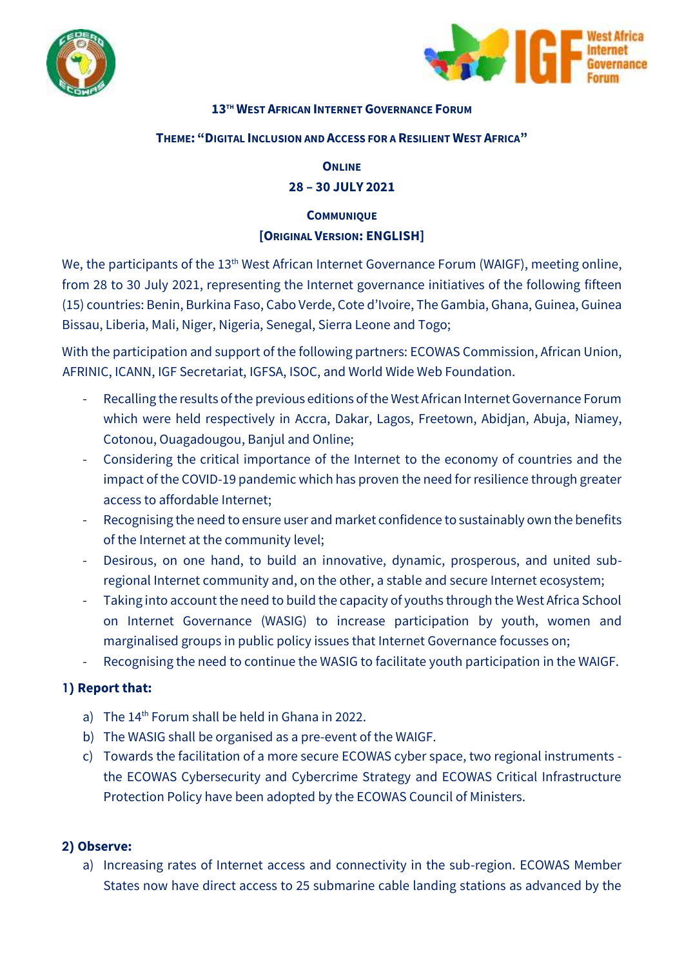



## **13 TH WEST AFRICAN INTERNET GOVERNANCE FORUM**

#### **THEME: "DIGITAL INCLUSION AND ACCESS FOR A RESILIENT WEST AFRICA"**

#### **ONLINE**

# **28 – 30 JULY 2021**

# **COMMUNIQUE [ORIGINAL VERSION: ENGLISH]**

We, the participants of the 13<sup>th</sup> West African Internet Governance Forum (WAIGF), meeting online, from 28 to 30 July 2021, representing the Internet governance initiatives of the following fifteen (15) countries: Benin, Burkina Faso, Cabo Verde, Cote d'Ivoire, The Gambia, Ghana, Guinea, Guinea Bissau, Liberia, Mali, Niger, Nigeria, Senegal, Sierra Leone and Togo;

With the participation and support of the following partners: ECOWAS Commission, African Union, AFRINIC, ICANN, IGF Secretariat, IGFSA, ISOC, and World Wide Web Foundation.

- Recalling the results of the previous editions of the West African Internet Governance Forum which were held respectively in Accra, Dakar, Lagos, Freetown, Abidjan, Abuja, Niamey, Cotonou, Ouagadougou, Banjul and Online;
- Considering the critical importance of the Internet to the economy of countries and the impact of the COVID-19 pandemic which has proven the need for resilience through greater access to affordable Internet;
- Recognising the need to ensure user and market confidence to sustainably own the benefits of the Internet at the community level;
- Desirous, on one hand, to build an innovative, dynamic, prosperous, and united subregional Internet community and, on the other, a stable and secure Internet ecosystem;
- Taking into account the need to build the capacity of youths through the West Africa School on Internet Governance (WASIG) to increase participation by youth, women and marginalised groups in public policy issues that Internet Governance focusses on;
- Recognising the need to continue the WASIG to facilitate youth participation in the WAIGF.

## **1) Report that:**

- a) The 14<sup>th</sup> Forum shall be held in Ghana in 2022.
- b) The WASIG shall be organised as a pre-event of the WAIGF.
- c) Towards the facilitation of a more secure ECOWAS cyber space, two regional instruments the ECOWAS Cybersecurity and Cybercrime Strategy and ECOWAS Critical Infrastructure Protection Policy have been adopted by the ECOWAS Council of Ministers.

## **2) Observe:**

a) Increasing rates of Internet access and connectivity in the sub-region. ECOWAS Member States now have direct access to 25 submarine cable landing stations as advanced by the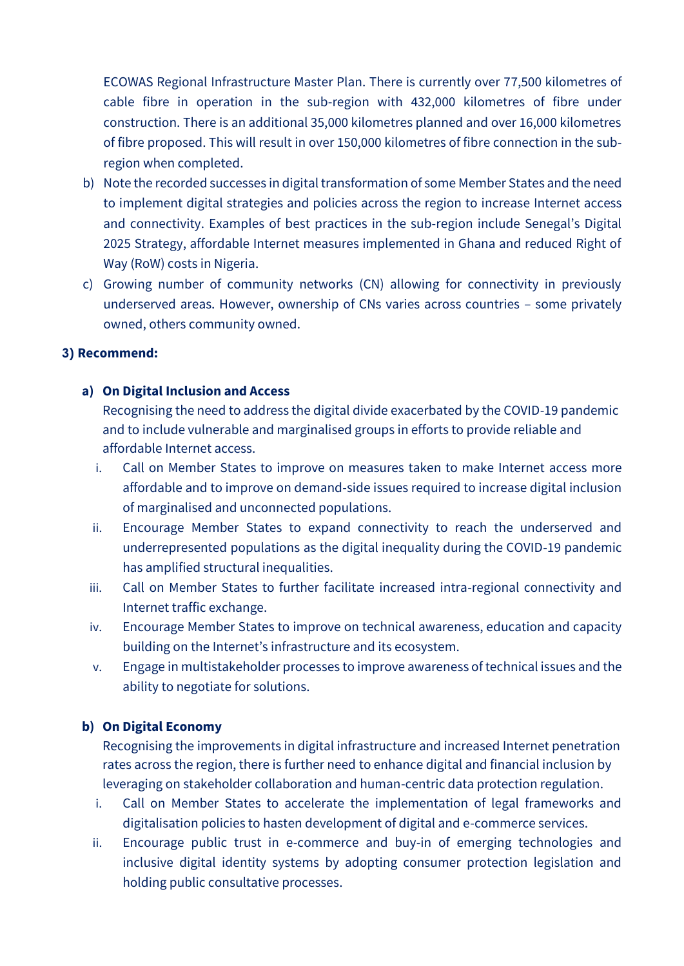ECOWAS Regional Infrastructure Master Plan. There is currently over 77,500 kilometres of cable fibre in operation in the sub-region with 432,000 kilometres of fibre under construction. There is an additional 35,000 kilometres planned and over 16,000 kilometres of fibre proposed. This will result in over 150,000 kilometres of fibre connection in the subregion when completed.

- b) Note the recorded successes in digital transformation of some Member States and the need to implement digital strategies and policies across the region to increase Internet access and connectivity. Examples of best practices in the sub-region include Senegal's Digital 2025 Strategy, affordable Internet measures implemented in Ghana and reduced Right of Way (RoW) costs in Nigeria.
- c) Growing number of community networks (CN) allowing for connectivity in previously underserved areas. However, ownership of CNs varies across countries – some privately owned, others community owned.

## **3) Recommend:**

# **a) On Digital Inclusion and Access**

Recognising the need to address the digital divide exacerbated by the COVID-19 pandemic and to include vulnerable and marginalised groups in efforts to provide reliable and affordable Internet access.

- i. Call on Member States to improve on measures taken to make Internet access more affordable and to improve on demand-side issues required to increase digital inclusion of marginalised and unconnected populations.
- ii. Encourage Member States to expand connectivity to reach the underserved and underrepresented populations as the digital inequality during the COVID-19 pandemic has amplified structural inequalities.
- iii. Call on Member States to further facilitate increased intra-regional connectivity and Internet traffic exchange.
- iv. Encourage Member States to improve on technical awareness, education and capacity building on the Internet's infrastructure and its ecosystem.
- v. Engagein multistakeholder processes to improve awareness of technical issues and the ability to negotiate for solutions.

## **b) On Digital Economy**

Recognising the improvements in digital infrastructure and increased Internet penetration rates across the region, there is further need to enhance digital and financial inclusion by leveraging on stakeholder collaboration and human-centric data protection regulation.

- i. Call on Member States to accelerate the implementation of legal frameworks and digitalisation policies to hasten development of digital and e-commerce services.
- ii. Encourage public trust in e-commerce and buy-in of emerging technologies and inclusive digital identity systems by adopting consumer protection legislation and holding public consultative processes.